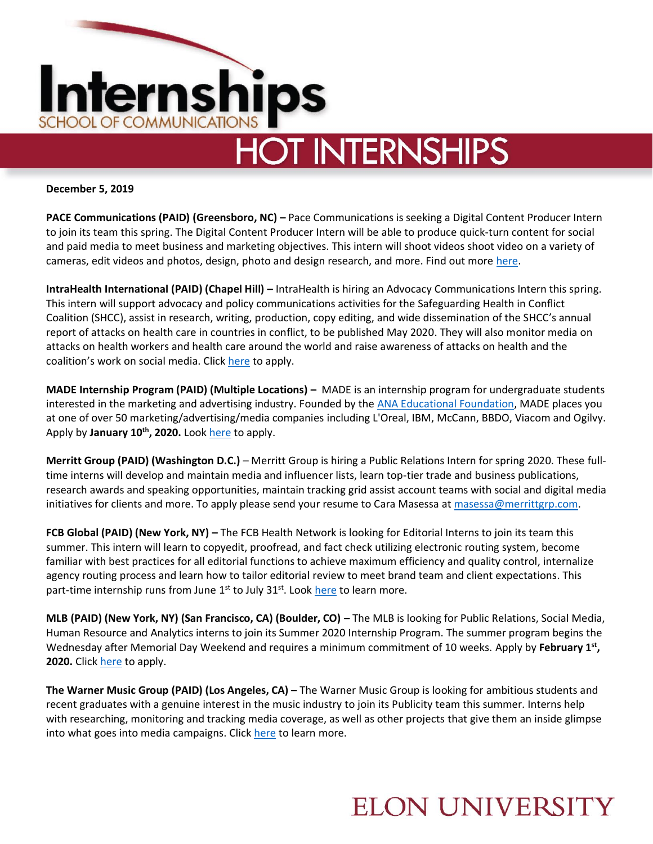

**December 5, 2019**

**PACE Communications (PAID) (Greensboro, NC) – Pace Communications is seeking a Digital Content Producer Intern** to join its team this spring. The Digital Content Producer Intern will be able to produce quick-turn content for social and paid media to meet business and marketing objectives. This intern will shoot videos shoot video on a variety of cameras, edit videos and photos, design, photo and design research, and more. Find out more [here.](https://recruiting.ultipro.com/PAC1021PACOM/JobBoard/b1de2eec-4aa4-4931-86d1-ddd2c28e2b6e/OpportunityDetail?opportunityId=f963d6dd-7d65-4a92-9c04-1d165540da1a)

**IntraHealth International (PAID) (Chapel Hill) –** IntraHealth is hiring an Advocacy Communications Intern this spring. This intern will support advocacy and policy communications activities for the Safeguarding Health in Conflict Coalition (SHCC), assist in research, writing, production, copy editing, and wide dissemination of the SHCC's annual report of attacks on health care in countries in conflict, to be published May 2020. They will also monitor media on attacks on health workers and health care around the world and raise awareness of attacks on health and the coalition's work on social media. Click [here](https://recruiting.ultipro.com/INT1028/JobBoard/e2116091-25aa-2eb8-64d2-db11ee75b469/OpportunityDetail?opportunityId=140b126a-9bf9-41a3-8160-0f02334f2b81) to apply.

**MADE Internship Program (PAID) (Multiple Locations) –** MADE is an internship program for undergraduate students interested in the marketing and advertising industry. Founded by the [ANA Educational Foundation,](http://aef.com/) MADE places you at one of over 50 marketing/advertising/media companies including L'Oreal, IBM, McCann, BBDO, Viacom and Ogilvy. Apply by January 10<sup>th</sup>, 2020. Look [here](https://aef.com/building-talent/made-internship-program/made-students/made-internship-app/?gh_jid=1847702) to apply.

**Merritt Group (PAID) (Washington D.C.)** – Merritt Group is hiring a Public Relations Intern for spring 2020. These fulltime interns will develop and maintain media and influencer lists, learn top-tier trade and business publications, research awards and speaking opportunities, maintain tracking grid assist account teams with social and digital media initiatives for clients and more. To apply please send your resume to Cara Masessa at [masessa@merrittgrp.com.](mailto:masessa@merrittgrp.com)

**FCB Global (PAID) (New York, NY) –** The FCB Health Network is looking for Editorial Interns to join its team this summer. This intern will learn to copyedit, proofread, and fact check utilizing electronic routing system, become familiar with best practices for all editorial functions to achieve maximum efficiency and quality control, internalize agency routing process and learn how to tailor editorial review to meet brand team and client expectations. This part-time internship runs from June  $1<sup>st</sup>$  to July 31 $<sup>st</sup>$ . Look [here](https://fcb.taleo.net/careersection/ex/jobdetail.ftl?job=190004GH&lang=en) to learn more.</sup>

**MLB (PAID) (New York, NY) (San Francisco, CA) (Boulder, CO) – The MLB is looking for Public Relations, Social Media,** Human Resource and Analytics interns to join its Summer 2020 Internship Program. The summer program begins the Wednesday after Memorial Day Weekend and requires a minimum commitment of 10 weeks. Apply by February 1<sup>st</sup>, **2020.** Click [here](https://www.mlb.com/careers/opportunities?gh_jid=1955212) to apply.

**The Warner Music Group (PAID) (Los Angeles, CA) –** The Warner Music Group is looking for ambitious students and recent graduates with a genuine interest in the music industry to join its Publicity team this summer. Interns help with researching, monitoring and tracking media coverage, as well as other projects that give them an inside glimpse into what goes into media campaigns. Click [here](https://wmg.wd1.myworkdayjobs.com/en-US/WMGUS/job/USA---Los-Angeles---777-S-Santa-Fe-Ave/Intern--Publicity--Summer-2020-_R-010560) to learn more.

#### **ELON UNIVERSITY**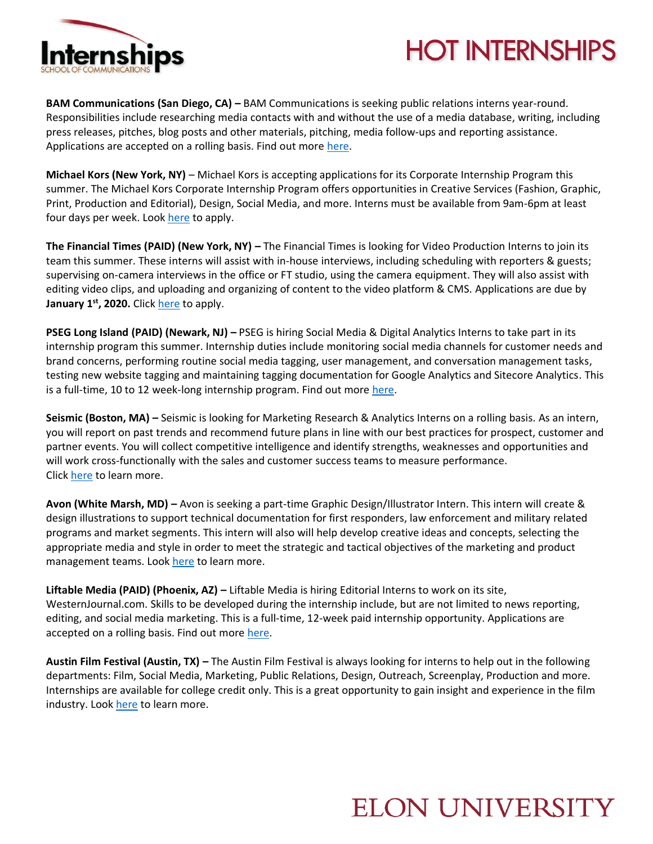

# **HOT INTERNSHIPS**

**BAM Communications (San Diego, CA) –** BAM Communications is seeking public relations interns year-round. Responsibilities include researching media contacts with and without the use of a media database, writing, including press releases, pitches, blog posts and other materials, pitching, media follow-ups and reporting assistance. Applications are accepted on a rolling basis. Find out mor[e here.](https://www.linkedin.com/jobs/view/intern-school-credit-at-bam-communications-1545321393/?utm_campaign=google_jobs_apply&utm_source=google_jobs_apply&utm_medium=organic)

**Michael Kors (New York, NY)** – Michael Kors is accepting applications for its Corporate Internship Program this summer. The Michael Kors Corporate Internship Program offers opportunities in Creative Services (Fashion, Graphic, Print, Production and Editorial), Design, Social Media, and more. Interns must be available from 9am-6pm at least four days per week. Loo[k here](https://capri.wd1.myworkdayjobs.com/en-US/Michael_Kors/job/MK-New-York-Headquarters/Summer-Corporate-Internship-Program_R_724831) to apply.

**The Financial Times (PAID) (New York, NY) –** The Financial Times is looking for Video Production Interns to join its team this summer. These interns will assist with in-house interviews, including scheduling with reporters & guests; supervising on-camera interviews in the office or FT studio, using the camera equipment. They will also assist with editing video clips, and uploading and organizing of content to the video platform & CMS. Applications are due by **January 1st, 2020.** Click [here](https://ft.wd3.myworkdayjobs.com/en-US/FT_External_Careers/job/New-York-35-hours/Video-Production-Summer-Intern_JR004204) to apply.

**PSEG Long Island (PAID) (Newark, NJ) –** PSEG is hiring Social Media & Digital Analytics Interns to take part in its internship program this summer. Internship duties include monitoring social media channels for customer needs and brand concerns, performing routine social media tagging, user management, and conversation management tasks, testing new website tagging and maintaining tagging documentation for Google Analytics and Sitecore Analytics. This is a full-time, 10 to 12 week-long internship program. Find out more [here.](https://jobs.pseg.com/job/Newark-Summer-2020-Social-MediaDigital-Analytics-Intern-NJ-07101/609671900/)

**Seismic (Boston, MA) –** Seismic is looking for Marketing Research & Analytics Interns on a rolling basis. As an intern, you will report on past trends and recommend future plans in line with our best practices for prospect, customer and partner events. You will collect competitive intelligence and identify strengths, weaknesses and opportunities and will work cross-functionally with the sales and customer success teams to measure performance. Clic[k here](https://seismic.com/company/careers/job-listings/?p=job%2FoDEXafw8) to learn more.

**Avon (White Marsh, MD) –** Avon is seeking a part-time Graphic Design/Illustrator Intern. This intern will create & design illustrations to support technical documentation for first responders, law enforcement and military related programs and market segments. This intern will also will help develop creative ideas and concepts, selecting the appropriate media and style in order to meet the strategic and tactical objectives of the marketing and product management teams. Loo[k here](https://www.linkedin.com/jobs/view/graphics-intern-at-avon-rubber-plc-1622574898/?utm_campaign=google_jobs_apply&utm_source=google_jobs_apply&utm_medium=organic) to learn more.

**Liftable Media (PAID) (Phoenix, AZ) –** Liftable Media is hiring Editorial Interns to work on its site, WesternJournal.com. Skills to be developed during the internship include, but are not limited to news reporting, editing, and social media marketing. This is a full-time, 12-week paid internship opportunity. Applications are accepted on a rolling basis. Find out more [here.](https://neuvoo.com/view/?id=62972b2b7dbf&oapply=org_v2019-12&source=joveo_bulk2&utm_source=partner&utm_medium=joveo_bulk2&puid=fdda3dee3de73de9bdaeda9e4daefaaeada93aec3aeeeadaged3addfbdd9ded3cbdbbbdd9cdcbed3fd)

**Austin Film Festival (Austin, TX) –** The Austin Film Festival is always looking for interns to help out in the following departments: Film, Social Media, Marketing, Public Relations, Design, Outreach, Screenplay, Production and more. Internships are available for college credit only. This is a great opportunity to gain insight and experience in the film industry. Look [here](https://austinfilmfestival.com/about/get-involved/internship/) to learn more.

## **ELON UNIVERSITY**